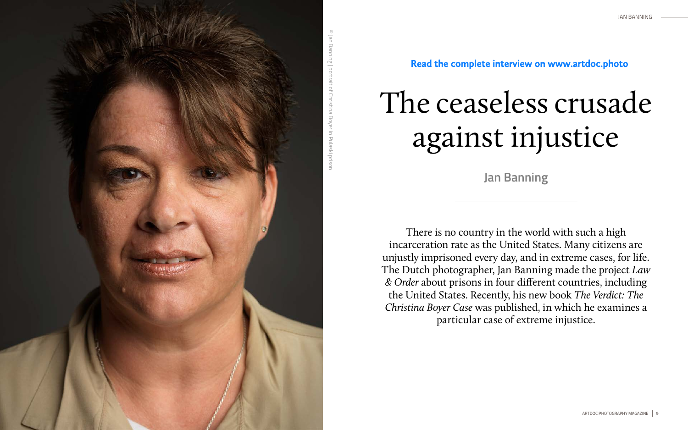



## The ceaseless crusade against injustice

There is no country in the world with such a high incarceration rate as the United States. Many citizens are unjustly imprisoned every day, and in extreme cases, for life. The Dutch photographer, Jan Banning made the project *Law & Order* about prisons in four different countries, including the United States. Recently, his new book *The Verdict: The Christina Boyer Case* was published, in which he examines a particular case of extreme injustice.

**Jan Banning**

**Read the complete interview on www.artdoc.photo**